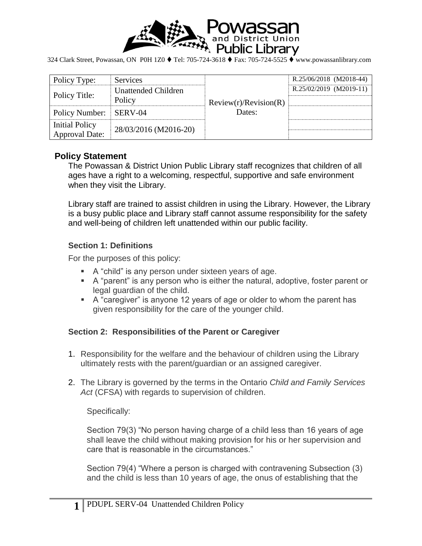

324 Clark Street, Powassan, ON P0H 1Z0 ♦ Tel: 705-724-3618 ♦ Fax: 705-724-5525 ♦ www.powassanlibrary.com

| Policy Type:           | <b>Services</b>            | Review(r)/Review(R)<br>Dates: | R.25/06/2018 (M2018-44) |
|------------------------|----------------------------|-------------------------------|-------------------------|
| Policy Title:          | <b>Unattended Children</b> |                               | R.25/02/2019 (M2019-11) |
|                        | Policy                     |                               |                         |
| Policy Number: SERV-04 |                            |                               |                         |
| <b>Initial Policy</b>  | 28/03/2016 (M2016-20)      |                               |                         |
| <b>Approval Date:</b>  |                            |                               |                         |

### **Policy Statement**

The Powassan & District Union Public Library staff recognizes that children of all ages have a right to a welcoming, respectful, supportive and safe environment when they visit the Library.

Library staff are trained to assist children in using the Library. However, the Library is a busy public place and Library staff cannot assume responsibility for the safety and well-being of children left unattended within our public facility.

### **Section 1: Definitions**

For the purposes of this policy:

- A "child" is any person under sixteen years of age.
- A "parent" is any person who is either the natural, adoptive, foster parent or legal guardian of the child.
- A "caregiver" is anyone 12 years of age or older to whom the parent has given responsibility for the care of the younger child.

### **Section 2: Responsibilities of the Parent or Caregiver**

- 1. Responsibility for the welfare and the behaviour of children using the Library ultimately rests with the parent/guardian or an assigned caregiver.
- 2. The Library is governed by the terms in the Ontario *Child and Family Services Act* (CFSA) with regards to supervision of children.

Specifically:

Section 79(3) "No person having charge of a child less than 16 years of age shall leave the child without making provision for his or her supervision and care that is reasonable in the circumstances."

Section 79(4) "Where a person is charged with contravening Subsection (3) and the child is less than 10 years of age, the onus of establishing that the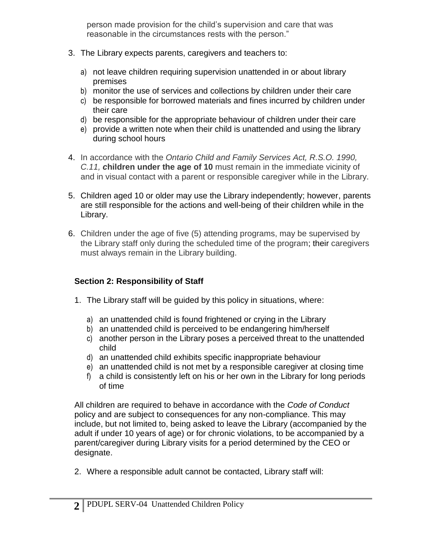person made provision for the child's supervision and care that was reasonable in the circumstances rests with the person."

- 3. The Library expects parents, caregivers and teachers to:
	- a) not leave children requiring supervision unattended in or about library premises
	- b) monitor the use of services and collections by children under their care
	- c) be responsible for borrowed materials and fines incurred by children under their care
	- d) be responsible for the appropriate behaviour of children under their care
	- e) provide a written note when their child is unattended and using the library during school hours
- 4. In accordance with the *Ontario Child and Family Services Act, R.S.O. 1990, C.11, c***hildren under the age of 10** must remain in the immediate vicinity of and in visual contact with a parent or responsible caregiver while in the Library.
- 5. Children aged 10 or older may use the Library independently; however, parents are still responsible for the actions and well-being of their children while in the Library.
- 6. Children under the age of five (5) attending programs, may be supervised by the Library staff only during the scheduled time of the program; their caregivers must always remain in the Library building.

# **Section 2: Responsibility of Staff**

- 1. The Library staff will be guided by this policy in situations, where:
	- a) an unattended child is found frightened or crying in the Library
	- b) an unattended child is perceived to be endangering him/herself
	- c) another person in the Library poses a perceived threat to the unattended child
	- d) an unattended child exhibits specific inappropriate behaviour
	- e) an unattended child is not met by a responsible caregiver at closing time
	- f) a child is consistently left on his or her own in the Library for long periods of time

All children are required to behave in accordance with the *Code of Conduct* policy and are subject to consequences for any non-compliance. This may include, but not limited to, being asked to leave the Library (accompanied by the adult if under 10 years of age) or for chronic violations, to be accompanied by a parent/caregiver during Library visits for a period determined by the CEO or designate.

2. Where a responsible adult cannot be contacted, Library staff will: